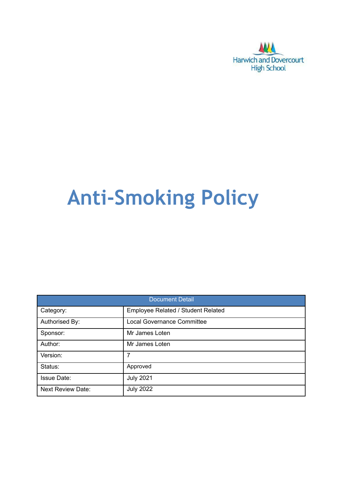

# **Anti-Smoking Policy**

| <b>Document Detail</b>   |                                    |  |  |  |
|--------------------------|------------------------------------|--|--|--|
| Category:                | Employee Related / Student Related |  |  |  |
| Authorised By:           | <b>Local Governance Committee</b>  |  |  |  |
| Sponsor:                 | Mr James Loten                     |  |  |  |
| Author:                  | Mr James Loten                     |  |  |  |
| Version:                 | 7                                  |  |  |  |
| Status:                  | Approved                           |  |  |  |
| <b>Issue Date:</b>       | <b>July 2021</b>                   |  |  |  |
| <b>Next Review Date:</b> | <b>July 2022</b>                   |  |  |  |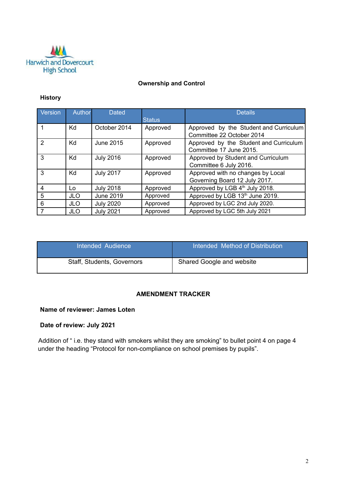

#### **Ownership and Control**

## **History**

| Version       | Author     | <b>Dated</b>     |               | <b>Details</b>                                                      |
|---------------|------------|------------------|---------------|---------------------------------------------------------------------|
|               |            |                  | <b>Status</b> |                                                                     |
|               | Kd         | October 2014     | Approved      | Approved by the Student and Curriculum<br>Committee 22 October 2014 |
| $\mathcal{P}$ | Kd         | June 2015        | Approved      | Approved by the Student and Curriculum<br>Committee 17 June 2015.   |
| 3             | Kd         | <b>July 2016</b> | Approved      | Approved by Student and Curriculum<br>Committee 6 July 2016.        |
| 3             | Kd         | <b>July 2017</b> | Approved      | Approved with no changes by Local<br>Governing Board 12 July 2017.  |
| 4             | Lo         | <b>July 2018</b> | Approved      | Approved by LGB 4 <sup>th</sup> July 2018.                          |
| 5             | <b>JLO</b> | <b>June 2019</b> | Approved      | Approved by LGB 13th June 2019.                                     |
| 6             | <b>JLO</b> | <b>July 2020</b> | Approved      | Approved by LGC 2nd July 2020.                                      |
|               | <b>JLO</b> | <b>July 2021</b> | Approved      | Approved by LGC 5th July 2021                                       |

| Intended Audience          | Intended Method of Distribution |
|----------------------------|---------------------------------|
| Staff, Students, Governors | Shared Google and website       |

## **AMENDMENT TRACKER**

#### **Name of reviewer: James Loten**

# **Date of review: July 2021**

Addition of " i.e. they stand with smokers whilst they are smoking" to bullet point 4 on page 4 under the heading "Protocol for non-compliance on school premises by pupils".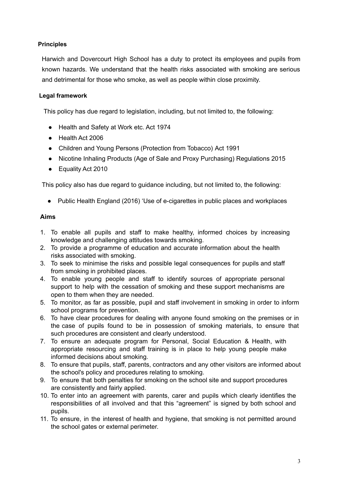## **Principles**

Harwich and Dovercourt High School has a duty to protect its employees and pupils from known hazards. We understand that the health risks associated with smoking are serious and detrimental for those who smoke, as well as people within close proximity.

#### **Legal framework**

This policy has due regard to legislation, including, but not limited to, the following:

- Health and Safety at Work etc. Act 1974
- Health Act 2006
- Children and Young Persons (Protection from Tobacco) Act 1991
- Nicotine Inhaling Products (Age of Sale and Proxy Purchasing) Regulations 2015
- Equality Act 2010

This policy also has due regard to guidance including, but not limited to, the following:

● Public Health England (2016) 'Use of e-cigarettes in public places and workplaces

#### **Aims**

- 1. To enable all pupils and staff to make healthy, informed choices by increasing knowledge and challenging attitudes towards smoking.
- 2. To provide a programme of education and accurate information about the health risks associated with smoking.
- 3. To seek to minimise the risks and possible legal consequences for pupils and staff from smoking in prohibited places.
- 4. To enable young people and staff to identify sources of appropriate personal support to help with the cessation of smoking and these support mechanisms are open to them when they are needed.
- 5. To monitor, as far as possible, pupil and staff involvement in smoking in order to inform school programs for prevention.
- 6. To have clear procedures for dealing with anyone found smoking on the premises or in the case of pupils found to be in possession of smoking materials, to ensure that such procedures are consistent and clearly understood.
- 7. To ensure an adequate program for Personal, Social Education & Health, with appropriate resourcing and staff training is in place to help young people make informed decisions about smoking.
- 8. To ensure that pupils, staff, parents, contractors and any other visitors are informed about the school's policy and procedures relating to smoking.
- 9. To ensure that both penalties for smoking on the school site and support procedures are consistently and fairly applied.
- 10. To enter into an agreement with parents, carer and pupils which clearly identifies the responsibilities of all involved and that this "agreement" is signed by both school and pupils.
- 11. To ensure, in the interest of health and hygiene, that smoking is not permitted around the school gates or external perimeter.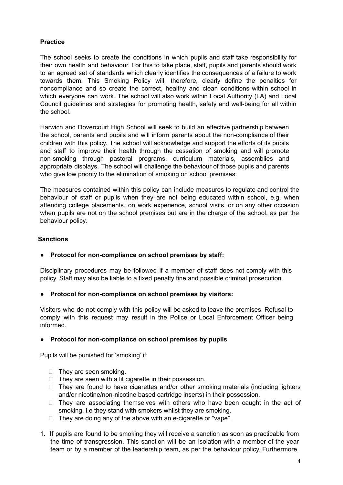# **Practice**

The school seeks to create the conditions in which pupils and staff take responsibility for their own health and behaviour. For this to take place, staff, pupils and parents should work to an agreed set of standards which clearly identifies the consequences of a failure to work towards them. This Smoking Policy will, therefore, clearly define the penalties for noncompliance and so create the correct, healthy and clean conditions within school in which everyone can work. The school will also work within Local Authority (LA) and Local Council guidelines and strategies for promoting health, safety and well-being for all within the school.

Harwich and Dovercourt High School will seek to build an effective partnership between the school, parents and pupils and will inform parents about the non-compliance of their children with this policy. The school will acknowledge and support the efforts of its pupils and staff to improve their health through the cessation of smoking and will promote non-smoking through pastoral programs, curriculum materials, assemblies and appropriate displays. The school will challenge the behaviour of those pupils and parents who give low priority to the elimination of smoking on school premises.

The measures contained within this policy can include measures to regulate and control the behaviour of staff or pupils when they are not being educated within school, e.g. when attending college placements, on work experience, school visits, or on any other occasion when pupils are not on the school premises but are in the charge of the school, as per the behaviour policy.

## **Sanctions**

## **● Protocol for non-compliance on school premises by staff:**

Disciplinary procedures may be followed if a member of staff does not comply with this policy. Staff may also be liable to a fixed penalty fine and possible criminal prosecution.

**● Protocol for non-compliance on school premises by visitors:**

Visitors who do not comply with this policy will be asked to leave the premises. Refusal to comply with this request may result in the Police or Local Enforcement Officer being informed.

#### **● Protocol for non-compliance on school premises by pupils**

Pupils will be punished for 'smoking' if:

- $\Box$  They are seen smoking.
- $\Box$  They are seen with a lit cigarette in their possession.
- $\Box$  They are found to have cigarettes and/or other smoking materials (including lighters and/or nicotine/non-nicotine based cartridge inserts) in their possession.
- $\Box$  They are associating themselves with others who have been caught in the act of smoking, i.e they stand with smokers whilst they are smoking.
- $\Box$  They are doing any of the above with an e-cigarette or "vape".
- 1. If pupils are found to be smoking they will receive a sanction as soon as practicable from the time of transgression. This sanction will be an isolation with a member of the year team or by a member of the leadership team, as per the behaviour policy. Furthermore,